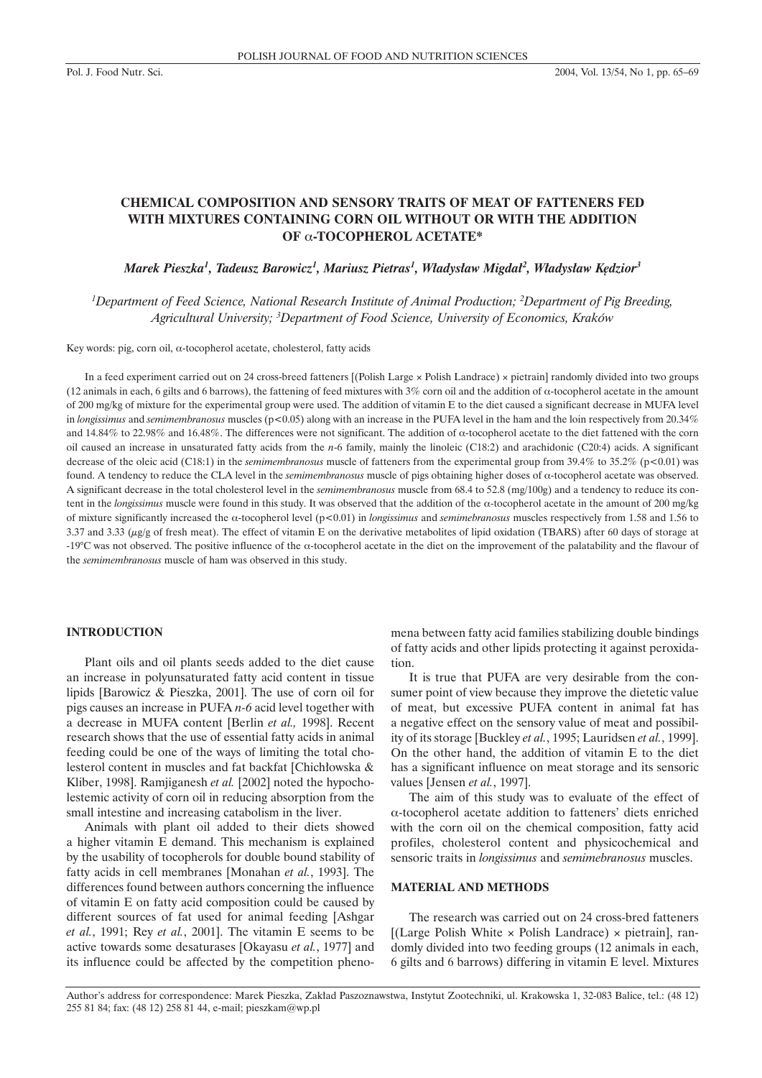# **CHEMICAL COMPOSITION AND SENSORY TRAITS OF MEAT OF FATTENERS FED WITH MIXTURES CONTAINING CORN OIL WITHOUT OR WITH THE ADDITION OF** α**-TOCOPHEROL ACETATE\***

 $M$ arek Pieszka<sup>1</sup>, Tadeusz Barowicz<sup>1</sup>, Mariusz Pietras<sup>1</sup>, Władysław Migdał<sup>2</sup>, Władysław Kędzior<sup>3</sup>

*1 Department of Feed Science, National Research Institute of Animal Production; 2 Department of Pig Breeding, Agricultural University; 3 Department of Food Science, University of Economics, Kraków*

Key words: pig, corn oil, α-tocopherol acetate, cholesterol, fatty acids

In a feed experiment carried out on 24 cross-breed fatteners [(Polish Large × Polish Landrace) × pietrain] randomly divided into two groups (12 animals in each, 6 gilts and 6 barrows), the fattening of feed mixtures with 3% corn oil and the addition of  $\alpha$ -tocopherol acetate in the amount of 200 mg/kg of mixture for the experimental group were used. The addition of vitamin E to the diet caused a significant decrease in MUFA level in *longissimus* and *semimembranosus* muscles (p<0.05) along with an increase in the PUFA level in the ham and the loin respectively from 20.34% and 14.84% to 22.98% and 16.48%. The differences were not significant. The addition of α-tocopherol acetate to the diet fattened with the corn oil caused an increase in unsaturated fatty acids from the *n*-6 family, mainly the linoleic (C18:2) and arachidonic (C20:4) acids. A significant decrease of the oleic acid (C18:1) in the *semimembranosus* muscle of fatteners from the experimental group from 39.4% to 35.2% (p<0.01) was found. A tendency to reduce the CLA level in the *semimembranosus* muscle of pigs obtaining higher doses of α-tocopherol acetate was observed. A significant decrease in the total cholesterol level in the *semimembranosus* muscle from 68.4 to 52.8 (mg/100g) and a tendency to reduce its content in the *longissimus* muscle were found in this study. It was observed that the addition of the α-tocopherol acetate in the amount of 200 mg/kg of mixture significantly increased the α-tocopherol level (p<0.01) in *longissimus* and *semimebranosus* muscles respectively from 1.58 and 1.56 to 3.37 and 3.33 ( $\mu$ g/g of fresh meat). The effect of vitamin E on the derivative metabolites of lipid oxidation (TBARS) after 60 days of storage at -19°C was not observed. The positive influence of the α-tocopherol acetate in the diet on the improvement of the palatability and the flavour of the *semimembranosus* muscle of ham was observed in this study.

#### **INTRODUCTION**

Plant oils and oil plants seeds added to the diet cause an increase in polyunsaturated fatty acid content in tissue lipids [Barowicz & Pieszka, 2001]. The use of corn oil for pigs causes an increase in PUFA *n-6* acid level together with a decrease in MUFA content [Berlin *et al.,* 1998]. Recent research shows that the use of essential fatty acids in animal feeding could be one of the ways of limiting the total cholesterol content in muscles and fat backfat [Chichłowska & Kliber, 1998]. Ramjiganesh *et al.* [2002] noted the hypocholestemic activity of corn oil in reducing absorption from the small intestine and increasing catabolism in the liver.

Animals with plant oil added to their diets showed a higher vitamin E demand. This mechanism is explained by the usability of tocopherols for double bound stability of fatty acids in cell membranes [Monahan *et al.*, 1993]. The differences found between authors concerning the influence of vitamin E on fatty acid composition could be caused by different sources of fat used for animal feeding [Ashgar *et al.*, 1991; Rey *et al.*, 2001]. The vitamin E seems to be active towards some desaturases [Okayasu *et al.*, 1977] and its influence could be affected by the competition phenomena between fatty acid families stabilizing double bindings of fatty acids and other lipids protecting it against peroxidation.

It is true that PUFA are very desirable from the consumer point of view because they improve the dietetic value of meat, but excessive PUFA content in animal fat has a negative effect on the sensory value of meat and possibility of its storage [Buckley *et al.*, 1995; Lauridsen *et al.*, 1999]. On the other hand, the addition of vitamin E to the diet has a significant influence on meat storage and its sensoric values [Jensen *et al.*, 1997].

The aim of this study was to evaluate of the effect of α-tocopherol acetate addition to fatteners' diets enriched with the corn oil on the chemical composition, fatty acid profiles, cholesterol content and physicochemical and sensoric traits in *longissimus* and *semimebranosus* muscles.

### **MATERIAL AND METHODS**

The research was carried out on 24 cross-bred fatteners  $[(Large Polish White × Polish Landrace) × pietrain], ran$ domly divided into two feeding groups (12 animals in each, 6 gilts and 6 barrows) differing in vitamin E level. Mixtures

Author's address for correspondence: Marek Pieszka, Zak∏ad Paszoznawstwa, Instytut Zootechniki, ul. Krakowska 1, 32-083 Balice, tel.: (48 12) 255 81 84; fax: (48 12) 258 81 44, e-mail; pieszkam@wp.pl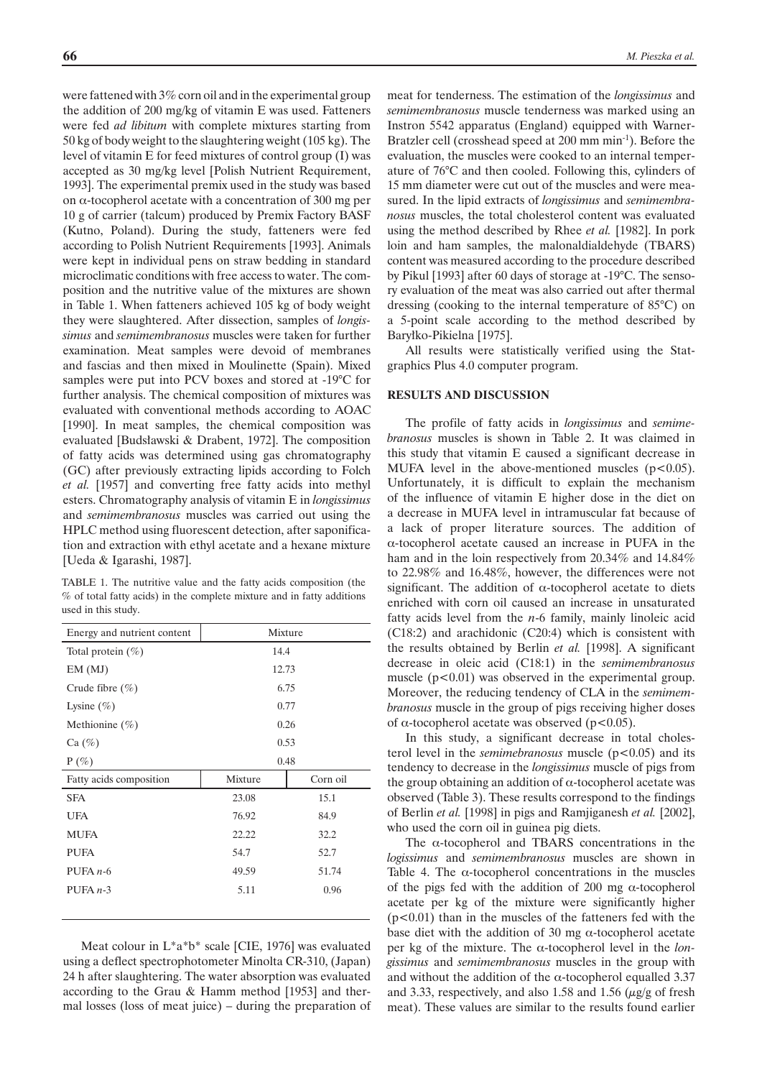were fattened with 3% corn oil and in the experimental group the addition of 200 mg/kg of vitamin E was used. Fatteners were fed *ad libitum* with complete mixtures starting from 50 kg of body weight to the slaughtering weight (105 kg). The level of vitamin E for feed mixtures of control group (I) was accepted as 30 mg/kg level [Polish Nutrient Requirement, 1993]. The experimental premix used in the study was based on α-tocopherol acetate with a concentration of 300 mg per 10 g of carrier (talcum) produced by Premix Factory BASF (Kutno, Poland). During the study, fatteners were fed according to Polish Nutrient Requirements [1993]. Animals were kept in individual pens on straw bedding in standard microclimatic conditions with free access to water. The composition and the nutritive value of the mixtures are shown in Table 1. When fatteners achieved 105 kg of body weight they were slaughtered. After dissection, samples of *longissimus* and *semimembranosus* muscles were taken for further examination. Meat samples were devoid of membranes and fascias and then mixed in Moulinette (Spain). Mixed samples were put into PCV boxes and stored at -19°C for further analysis. The chemical composition of mixtures was evaluated with conventional methods according to AOAC [1990]. In meat samples, the chemical composition was evaluated [Budsławski & Drabent, 1972]. The composition of fatty acids was determined using gas chromatography (GC) after previously extracting lipids according to Folch *et al.* [1957] and converting free fatty acids into methyl esters. Chromatography analysis of vitamin E in *longissimus* and *semimembranosus* muscles was carried out using the HPLC method using fluorescent detection, after saponification and extraction with ethyl acetate and a hexane mixture [Ueda & Igarashi, 1987].

TABLE 1. The nutritive value and the fatty acids composition (the % of total fatty acids) in the complete mixture and in fatty additions used in this study.

| Energy and nutrient content | Mixture |          |  |  |
|-----------------------------|---------|----------|--|--|
| Total protein $(\%)$        | 14.4    |          |  |  |
| EM(MJ)                      | 12.73   |          |  |  |
| Crude fibre $(\% )$         | 6.75    |          |  |  |
| Lysine $(\% )$              | 0.77    |          |  |  |
| Methionine $(\% )$          | 0.26    |          |  |  |
| Ca (%)                      | 0.53    |          |  |  |
| $P(\%)$                     | 0.48    |          |  |  |
| Fatty acids composition     | Mixture | Corn oil |  |  |
| <b>SFA</b>                  | 23.08   | 15.1     |  |  |
| <b>UFA</b>                  | 76.92   | 84.9     |  |  |
| <b>MUFA</b>                 | 22.22   | 32.2     |  |  |
| <b>PUFA</b>                 | 54.7    | 52.7     |  |  |
| PUFA $n-6$                  | 49.59   | 51.74    |  |  |
| PUFA $n-3$                  | 5.11    | 0.96     |  |  |
|                             |         |          |  |  |

Meat colour in L\*a\*b\* scale [CIE, 1976] was evaluated using a deflect spectrophotometer Minolta CR-310, (Japan) 24 h after slaughtering. The water absorption was evaluated according to the Grau & Hamm method [1953] and thermal losses (loss of meat juice) – during the preparation of meat for tenderness. The estimation of the *longissimus* and *semimembranosus* muscle tenderness was marked using an Instron 5542 apparatus (England) equipped with Warner-Bratzler cell (crosshead speed at 200 mm min<sup>-1</sup>). Before the evaluation, the muscles were cooked to an internal temperature of 76°C and then cooled. Following this, cylinders of 15 mm diameter were cut out of the muscles and were measured. In the lipid extracts of *longissimus* and *semimembranosus* muscles, the total cholesterol content was evaluated using the method described by Rhee *et al.* [1982]. In pork loin and ham samples, the malonaldialdehyde (TBARS) content was measured according to the procedure described by Pikul [1993] after 60 days of storage at -19°C. The sensory evaluation of the meat was also carried out after thermal dressing (cooking to the internal temperature of 85°C) on a 5-point scale according to the method described by Baryłko-Pikielna [1975].

All results were statistically verified using the Statgraphics Plus 4.0 computer program.

#### **RESULTS AND DISCUSSION**

The profile of fatty acids in *longissimus* and *semimebranosus* muscles is shown in Table 2. It was claimed in this study that vitamin E caused a significant decrease in MUFA level in the above-mentioned muscles  $(p<0.05)$ . Unfortunately, it is difficult to explain the mechanism of the influence of vitamin E higher dose in the diet on a decrease in MUFA level in intramuscular fat because of a lack of proper literature sources. The addition of α-tocopherol acetate caused an increase in PUFA in the ham and in the loin respectively from 20.34% and 14.84% to 22.98% and 16.48%, however, the differences were not significant. The addition of  $\alpha$ -tocopherol acetate to diets enriched with corn oil caused an increase in unsaturated fatty acids level from the *n*-6 family, mainly linoleic acid (C18:2) and arachidonic (C20:4) which is consistent with the results obtained by Berlin *et al.* [1998]. A significant decrease in oleic acid (C18:1) in the *semimembranosus* muscle  $(p<0.01)$  was observed in the experimental group. Moreover, the reducing tendency of CLA in the *semimembranosus* muscle in the group of pigs receiving higher doses of α-tocopherol acetate was observed ( $p$ <0.05).

In this study, a significant decrease in total cholesterol level in the *semimebranosus* muscle (p<0.05) and its tendency to decrease in the *longissimus* muscle of pigs from the group obtaining an addition of  $\alpha$ -tocopherol acetate was observed (Table 3). These results correspond to the findings of Berlin *et al.* [1998] in pigs and Ramjiganesh *et al.* [2002], who used the corn oil in guinea pig diets.

The  $\alpha$ -tocopherol and TBARS concentrations in the *logissimus* and *semimembranosus* muscles are shown in Table 4. The  $\alpha$ -tocopherol concentrations in the muscles of the pigs fed with the addition of 200 mg  $\alpha$ -tocopherol acetate per kg of the mixture were significantly higher  $(p<0.01)$  than in the muscles of the fatteners fed with the base diet with the addition of 30 mg  $\alpha$ -tocopherol acetate per kg of the mixture. The α-tocopherol level in the *longissimus* and *semimembranosus* muscles in the group with and without the addition of the  $\alpha$ -tocopherol equalled 3.37 and 3.33, respectively, and also 1.58 and 1.56  $(\mu g/g)$  of fresh meat). These values are similar to the results found earlier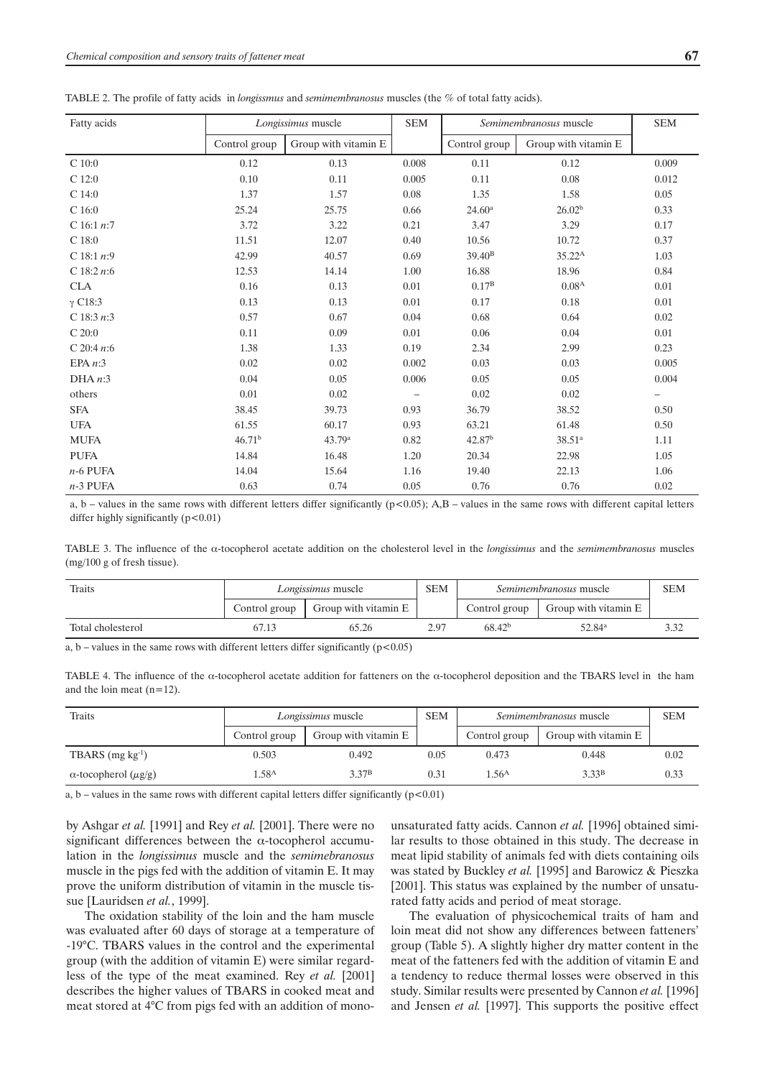| TABLE 2. The profile of fatty acids in <i>longissmus</i> and <i>semimembranosus</i> muscles (the $\%$ of total fatty acids). |  |  |
|------------------------------------------------------------------------------------------------------------------------------|--|--|
|------------------------------------------------------------------------------------------------------------------------------|--|--|

| Fatty acids    | Longissimus muscle |                      | <b>SEM</b><br>Semimembranosus muscle |                    |                      | <b>SEM</b>               |
|----------------|--------------------|----------------------|--------------------------------------|--------------------|----------------------|--------------------------|
|                | Control group      | Group with vitamin E |                                      | Control group      | Group with vitamin E |                          |
| C 10:0         | 0.12               | 0.13                 | 0.008                                | 0.11               | 0.12                 | 0.009                    |
| C 12:0         | 0.10               | 0.11                 | 0.005                                | 0.11               | 0.08                 | 0.012                    |
| $C$ 14:0       | 1.37               | 1.57                 | 0.08                                 | 1.35               | 1.58                 | 0.05                     |
| C 16:0         | 25.24              | 25.75                | 0.66                                 | 24.60 <sup>a</sup> | 26.02 <sup>b</sup>   | 0.33                     |
| C 16:1 $n:7$   | 3.72               | 3.22                 | 0.21                                 | 3.47               | 3.29                 | 0.17                     |
| $C$ 18:0       | 11.51              | 12.07                | 0.40                                 | 10.56              | 10.72                | 0.37                     |
| C 18:1 $n:9$   | 42.99              | 40.57                | 0.69                                 | $39.40^{\rm B}$    | $35.22^{\rm A}$      | 1.03                     |
| C $18:2 n:6$   | 12.53              | 14.14                | 1.00                                 | 16.88              | 18.96                | 0.84                     |
| <b>CLA</b>     | 0.16               | 0.13                 | 0.01                                 | 0.17 <sup>B</sup>  | 0.08 <sup>A</sup>    | 0.01                     |
| $\gamma$ C18:3 | 0.13               | 0.13                 | 0.01                                 | 0.17               | 0.18                 | 0.01                     |
| C 18:3 $n:3$   | 0.57               | 0.67                 | 0.04                                 | 0.68               | 0.64                 | 0.02                     |
| C 20:0         | 0.11               | 0.09                 | 0.01                                 | 0.06               | 0.04                 | 0.01                     |
| C 20:4 $n:6$   | 1.38               | 1.33                 | 0.19                                 | 2.34               | 2.99                 | 0.23                     |
| EPA $n:3$      | 0.02               | 0.02                 | 0.002                                | 0.03               | 0.03                 | 0.005                    |
| DHA n:3        | 0.04               | 0.05                 | 0.006                                | 0.05               | 0.05                 | 0.004                    |
| others         | 0.01               | 0.02                 | $\overline{\phantom{0}}$             | 0.02               | 0.02                 | $\overline{\phantom{m}}$ |
| <b>SFA</b>     | 38.45              | 39.73                | 0.93                                 | 36.79              | 38.52                | 0.50                     |
| <b>UFA</b>     | 61.55              | 60.17                | 0.93                                 | 63.21              | 61.48                | 0.50                     |
| <b>MUFA</b>    | 46.71 <sup>b</sup> | 43.79 <sup>a</sup>   | 0.82                                 | 42.87 <sup>b</sup> | 38.51 <sup>a</sup>   | 1.11                     |
| <b>PUFA</b>    | 14.84              | 16.48                | 1.20                                 | 20.34              | 22.98                | 1.05                     |
| $n-6$ PUFA     | 14.04              | 15.64                | 1.16                                 | 19.40              | 22.13                | 1.06                     |
| $n-3$ PUFA     | 0.63               | 0.74                 | 0.05                                 | 0.76               | 0.76                 | 0.02                     |

a, b – values in the same rows with different letters differ significantly  $(p<0.05)$ ; A,B – values in the same rows with different capital letters differ highly significantly  $(p<0.01)$ 

TABLE 3. The influence of the α-tocopherol acetate addition on the cholesterol level in the *longissimus* and the *semimembranosus* muscles (mg/100 g of fresh tissue).

| Traits            | <i>Longissimus</i> muscle |                      | SEM  | <i>Semimembranosus</i> muscle |                      | <b>SEM</b> |
|-------------------|---------------------------|----------------------|------|-------------------------------|----------------------|------------|
|                   | Control group             | Group with vitamin E |      | Control group                 | Group with vitamin E |            |
| Total cholesterol | 67.13                     | 65.26                | 2.97 | 68.42 <sup>b</sup>            | $52.84^{\rm a}$      | 3.32       |

a, b – values in the same rows with different letters differ significantly ( $p < 0.05$ )

TABLE 4. The influence of the α-tocopherol acetate addition for fatteners on the α-tocopherol deposition and the TBARS level in the ham and the loin meat (n=12).

| Traits                            | Longissimus muscle |                      | <b>SEM</b> | <i>Semimembranosus</i> muscle |                      | <b>SEM</b> |
|-----------------------------------|--------------------|----------------------|------------|-------------------------------|----------------------|------------|
|                                   | Control group      | Group with vitamin E |            | Control group                 | Group with vitamin E |            |
| TBARS $(mg kg-1)$                 | 0.503              | 0.492                | 0.05       | 0.473                         | 0.448                | 0.02       |
| $\alpha$ -tocopherol ( $\mu$ g/g) | .58 <sup>A</sup>   | 3.37 <sup>B</sup>    | 0.31       | .56 <sup>A</sup>              | 3.33 <sup>B</sup>    | 0.33       |

a, b – values in the same rows with different capital letters differ significantly ( $p < 0.01$ )

by Ashgar *et al.* [1991] and Rey *et al.* [2001]. There were no significant differences between the α-tocopherol accumulation in the *longissimus* muscle and the *semimebranosus* muscle in the pigs fed with the addition of vitamin E. It may prove the uniform distribution of vitamin in the muscle tissue [Lauridsen *et al.*, 1999].

The oxidation stability of the loin and the ham muscle was evaluated after 60 days of storage at a temperature of -19°C. TBARS values in the control and the experimental group (with the addition of vitamin E) were similar regardless of the type of the meat examined. Rey *et al.* [2001] describes the higher values of TBARS in cooked meat and meat stored at 4°C from pigs fed with an addition of monounsaturated fatty acids. Cannon *et al.* [1996] obtained similar results to those obtained in this study. The decrease in meat lipid stability of animals fed with diets containing oils was stated by Buckley *et al.* [1995] and Barowicz & Pieszka [2001]. This status was explained by the number of unsaturated fatty acids and period of meat storage.

The evaluation of physicochemical traits of ham and loin meat did not show any differences between fatteners' group (Table 5). A slightly higher dry matter content in the meat of the fatteners fed with the addition of vitamin E and a tendency to reduce thermal losses were observed in this study. Similar results were presented by Cannon *et al.* [1996] and Jensen *et al.* [1997]. This supports the positive effect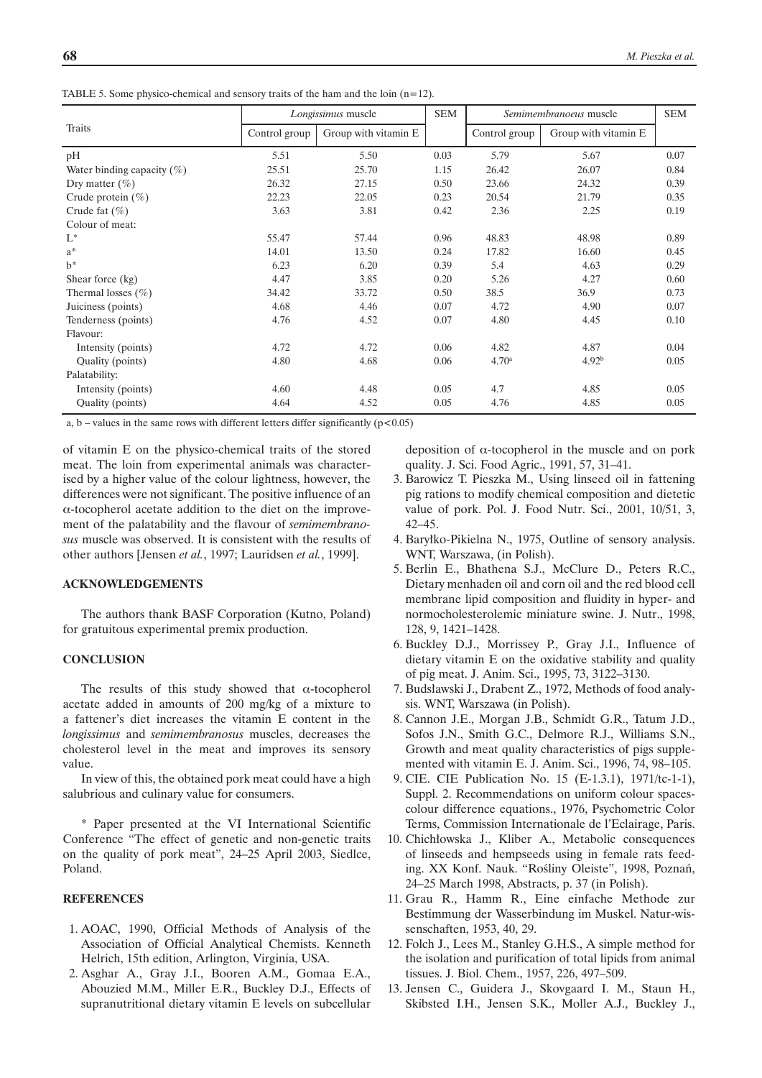TABLE 5. Some physico-chemical and sensory traits of the ham and the loin  $(n=12)$ .

|                               | Longissimus muscle |                      | <b>SEM</b> |                   | Semimembranoeus muscle | <b>SEM</b> |
|-------------------------------|--------------------|----------------------|------------|-------------------|------------------------|------------|
| Traits                        | Control group      | Group with vitamin E |            | Control group     | Group with vitamin E   |            |
| pH                            | 5.51               | 5.50                 | 0.03       | 5.79              | 5.67                   | 0.07       |
| Water binding capacity $(\%)$ | 25.51              | 25.70                | 1.15       | 26.42             | 26.07                  | 0.84       |
| Dry matter $(\% )$            | 26.32              | 27.15                | 0.50       | 23.66             | 24.32                  | 0.39       |
| Crude protein $(\%)$          | 22.23              | 22.05                | 0.23       | 20.54             | 21.79                  | 0.35       |
| Crude fat $(\% )$             | 3.63               | 3.81                 | 0.42       | 2.36              | 2.25                   | 0.19       |
| Colour of meat:               |                    |                      |            |                   |                        |            |
| $L^*$                         | 55.47              | 57.44                | 0.96       | 48.83             | 48.98                  | 0.89       |
| $a^*$                         | 14.01              | 13.50                | 0.24       | 17.82             | 16.60                  | 0.45       |
| $h^*$                         | 6.23               | 6.20                 | 0.39       | 5.4               | 4.63                   | 0.29       |
| Shear force (kg)              | 4.47               | 3.85                 | 0.20       | 5.26              | 4.27                   | 0.60       |
| Thermal losses $(\% )$        | 34.42              | 33.72                | 0.50       | 38.5              | 36.9                   | 0.73       |
| Juiciness (points)            | 4.68               | 4.46                 | 0.07       | 4.72              | 4.90                   | 0.07       |
| Tenderness (points)           | 4.76               | 4.52                 | 0.07       | 4.80              | 4.45                   | 0.10       |
| Flavour:                      |                    |                      |            |                   |                        |            |
| Intensity (points)            | 4.72               | 4.72                 | 0.06       | 4.82              | 4.87                   | 0.04       |
| Quality (points)              | 4.80               | 4.68                 | 0.06       | 4.70 <sup>a</sup> | 4.92 <sup>b</sup>      | 0.05       |
| Palatability:                 |                    |                      |            |                   |                        |            |
| Intensity (points)            | 4.60               | 4.48                 | 0.05       | 4.7               | 4.85                   | 0.05       |
| Quality (points)              | 4.64               | 4.52                 | 0.05       | 4.76              | 4.85                   | 0.05       |

a, b – values in the same rows with different letters differ significantly  $(p<0.05)$ 

of vitamin E on the physico-chemical traits of the stored meat. The loin from experimental animals was characterised by a higher value of the colour lightness, however, the differences were not significant. The positive influence of an α-tocopherol acetate addition to the diet on the improvement of the palatability and the flavour of *semimembranosus* muscle was observed. It is consistent with the results of other authors [Jensen *et al.*, 1997; Lauridsen *et al.*, 1999].

#### **ACKNOWLEDGEMENTS**

The authors thank BASF Corporation (Kutno, Poland) for gratuitous experimental premix production.

#### **CONCLUSION**

The results of this study showed that  $\alpha$ -tocopherol acetate added in amounts of 200 mg/kg of a mixture to a fattener's diet increases the vitamin E content in the *longissimus* and *semimembranosus* muscles, decreases the cholesterol level in the meat and improves its sensory value.

In view of this, the obtained pork meat could have a high salubrious and culinary value for consumers.

\* Paper presented at the VI International Scientific Conference "The effect of genetic and non-genetic traits on the quality of pork meat", 24–25 April 2003, Siedlce, Poland.

#### **REFERENCES**

- 1. AOAC, 1990, Official Methods of Analysis of the Association of Official Analytical Chemists. Kenneth Helrich, 15th edition, Arlington, Virginia, USA.
- 2. Asghar A., Gray J.I., Booren A.M., Gomaa E.A., Abouzied M.M., Miller E.R., Buckley D.J., Effects of supranutritional dietary vitamin E levels on subcellular

deposition of α-tocopherol in the muscle and on pork quality. J. Sci. Food Agric., 1991, 57, 31–41.

- 3. Barowicz T. Pieszka M., Using linseed oil in fattening pig rations to modify chemical composition and dietetic value of pork. Pol. J. Food Nutr. Sci., 2001, 10/51, 3, 42–45.
- 4. Baryłko-Pikielna N., 1975, Outline of sensory analysis. WNT, Warszawa, (in Polish).
- 5. Berlin E., Bhathena S.J., McClure D., Peters R.C., Dietary menhaden oil and corn oil and the red blood cell membrane lipid composition and fluidity in hyper- and normocholesterolemic miniature swine. J. Nutr., 1998, 128, 9, 1421–1428.
- 6. Buckley D.J., Morrissey P., Gray J.I., Influence of dietary vitamin E on the oxidative stability and quality of pig meat. J. Anim. Sci., 1995, 73, 3122–3130.
- 7. Budsławski J., Drabent Z., 1972, Methods of food analysis. WNT, Warszawa (in Polish).
- 8. Cannon J.E., Morgan J.B., Schmidt G.R., Tatum J.D., Sofos J.N., Smith G.C., Delmore R.J., Williams S.N., Growth and meat quality characteristics of pigs supplemented with vitamin E. J. Anim. Sci., 1996, 74, 98–105.
- 9. CIE. CIE Publication No. 15 (E-1.3.1), 1971/tc-1-1), Suppl. 2. Recommendations on uniform colour spacescolour difference equations., 1976, Psychometric Color Terms, Commission Internationale de l'Eclairage, Paris.
- 10. Chichłowska J., Kliber A., Metabolic consequences of linseeds and hempseeds using in female rats feeding. XX Konf. Nauk. "Rośliny Oleiste", 1998, Poznań, 24–25 March 1998, Abstracts, p. 37 (in Polish).
- 11. Grau R., Hamm R., Eine einfache Methode zur Bestimmung der Wasserbindung im Muskel. Natur-wissenschaften, 1953, 40, 29.
- 12. Folch J., Lees M., Stanley G.H.S., A simple method for the isolation and purification of total lipids from animal tissues. J. Biol. Chem., 1957, 226, 497–509.
- 13. Jensen C., Guidera J., Skovgaard I. M., Staun H., Skibsted I.H., Jensen S.K., Moller A.J., Buckley J.,